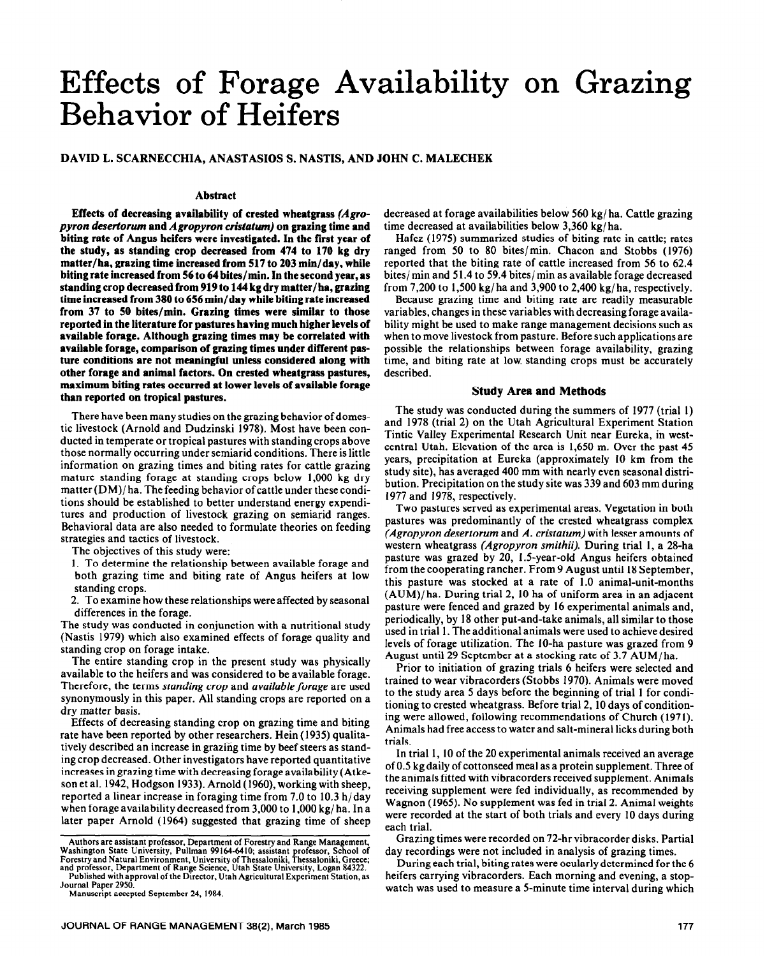# Effects of Forage Availability on Grazing Behavior of Heifers

#### **DAVID L. SCARNECCHIA, ANASTASIOS S. NASTIS, AND JOHN C. MALECHEK**

#### **Abstract**

**Effects of decreasing availability of crested wheatgrass** *(Agropyron desertorum* **and** *Agropyron cristatum)* **on grazing time and biting rate of Angus heifers were investigated. In the first year of the study, as standing crop decreased from 474 to 170 kg dry matter/ha, grazing time increased from 517 to 203 min/day, while biting rate increased from 56 to 64 hites/min. In the second year, as standing crop decreased from 919 to 144 kg dry matter/ha, grazing time increased from 380 to 656 min/day while biting rate increased from 37 to 50 bites/min. Grazing times were similar to those reported in the literature for pastures having much higher levels of available forage. Although grazing times may be correlated with available forage, comparison of grazing times under different pasture conditions are not meaningful unless considered along with other forage and animal factors. On crested wheatgrass pastures, maximum biting rates occurred at lower levels of available forage than reported on tropical pastures.** 

There have been many studies on the grazing behavior of domestic livestock (Arnold and Dudzinski 1978). Most have been conducted in temperate or tropical pastures with standing crops above those normally occurring under semiarid conditions. There is little information on grazing times and biting rates for cattle grazing mature standing forage at standing crops below 1,000 kg dry matter (DM)/ ha. The feeding behavior of cattle under these conditions should be established to better understand energy expenditures and production of livestock grazing on semiarid ranges. Behavioral data are also needed to formulate theories on feeding strategies and tactics of livestock.

The objectives of this study were:

1. To determine the relationship between available forage and both grazing time and biting rate of Angus heifers at low standing crops.

2. To examine how these relationships were affected by seasonal differences in the forage.

The study was conducted in conjunction with a nutritional study (Nastis 1979) which also examined effects of forage quality and standing crop on forage intake.

The entire standing crop in the present study was physically available to the heifers and was considered to be available forage. Therefore, the terms *standing crop* and *available forage* are used synonymously in this paper. All standing **crops are reported on a**  dry matter basis.

Effects of decreasing standing crop on grazing time and biting rate have been reported by other researchers. Hein (1935) qualitatively described an increase in grazing time by beef steers as standing crop decreased. Other investigators have reported quantitative increases in grazing time with decreasing forage availability (Atkeson et al. 1942, Hodgson 1933). Arnold (1960), working with sheep, reported a linear increase in foraging time from 7.0 to 10.3 h/day when forage availability decreased from 3,000 to 1,000 kg/ ha. In a later paper Arnold (1964) suggested that grazing time of sheep decreased at forage availabilities below 560 kg/ ha. Cattle grazing time decreased at availabilities below 3,360 kg/ ha.

Hafez (1975) summarized studies of biting rate in cattle; rates ranged from 50 to 80 bites/min. Chacon and Stobbs (1976) reported that the biting rate of cattle increased from 56 to 62.4 bites/ min and 5 1.4 to 59.4 bites/ min as available forage decreased from 7,200 to 1,500 kg/ ha and 3,900 to 2,400 kg/ ha, respectively.

Because grazing time and biting rate are readily measurable variables, changes in these variables with decreasing forage availability might be used to make range management decisions such as when to move livestock from pasture. Before such applications are possible the relationships between forage availability, grazing time, and biting rate at low. standing crops must be accurately described.

### **Study Area and Methods**

The study was conducted during the summers of 1977 (trial 1) and 1978 (trial 2) on the Utah Agricultural Experiment Station Tintic Valley Experimental Research Unit near Eureka, in westcentral Utah. Elevation of the area is 1,650 m. Over the past 45 years, precipitation at Eureka (approximately 10 km from the study site), has averaged 400 mm with nearly even seasonal distribution. Precipitation on the study site was 339 and 603 mm during 1977 and 1978, respectively.

Two pastures served as experimental areas. Vegetation in both pastures was predominantly of the crested wheatgrass complex *(Agropyron desertorum* and *A. cristatum)* with lesser amounts of western wheatgrass (Agropyron smithii). During trial 1, a 28-ha pasture was grazed by 20, 1.5-year-old Angus heifers obtained from the cooperating rancher. From 9 August until 18 September, this pasture was stocked at a rate of 1.0 animal-unit-months (AUM)/ha. During trial 2, 10 ha of uniform area in an adjacent pasture were fenced and grazed by 16 experimental animals and, periodically, by 18 other put-and-take animals, all similar to those used in trial 1. The additional animals were used to achieve desired levels of forage utilization. The IO-ha pasture was grazed from 9 August until 29 September at a stocking rate of 3.7 AUM/ ha.

Prior to initiation of grazing trials 6 heifers were selected and trained to wear vibracorders (Stobbs 1970). Animals were moved to the study area 5 days before the beginning of trial 1 for conditioning to crested wheatgrass. Before trial 2, 10 days of conditioning were allowed, following recommendations of Church (197 I). Animals had free access to water and salt-mineral licks during both trials.

In trial 1, IO of the 20 experimental animals received an average of 0.5 kg daily of cottonseed meal as a protein supplement. Three of the animals fitted with vibracorders received supplement. Animals receiving supplement were fed individually, as recommended by Wagnon (1965). No supplement was fed in trial 2. Animal weights were recorded at the start of both trials and every 10 days during each trial.

Grazing times were recorded on 72-hr vibracorder disks. Partial day recordings were not included in analysis of grazing times.

During each trial, biting rates were ocularly determined for the 6 heifers carrying vibracorders. Each morning and evening, a stopwatch was used to measure a 5-minute time interval during which

Authors are **assistant** professor, Department of Forestry and Range Management, Washington State University, Pullman 991646410; assistant **professor, School of**  Forestry and Natural Environment, University of Thessaloniki, Thessaloniki, Greece;<br>and professor, Department of Range Science, Utah State University, Logan 84322.<br>Published with approval of the Director, Utah Agricultural

Journal Paper 2950. Manuscript accepted September 24, 1984.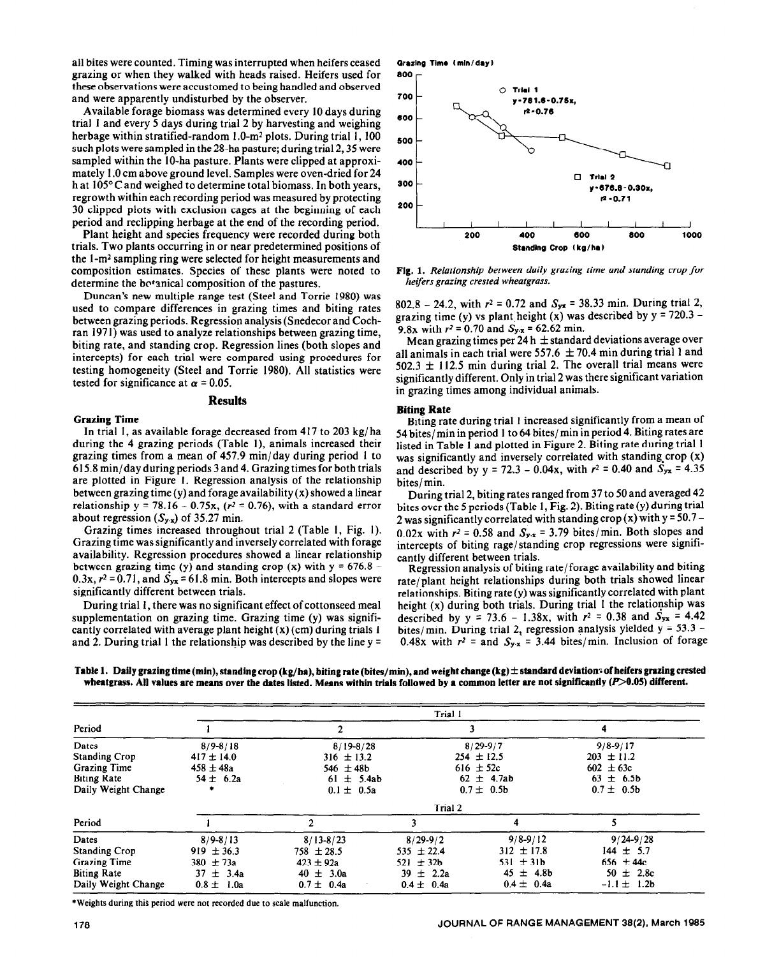ail bites were counted. Timing was interrupted when heifers ceased grazing or when they walked with heads raised. Heifers used for these observations were accustomed to being handled and observed and were apparently undisturbed by the observer.

Available forage biomass was determined every 10 days during trial I and every 5 days during trial 2 by harvesting and weighing herbage within stratified-random  $1.0\text{-}m^2$  plots. During trial 1, 100 such plots were sampled in the 28-ha pasture; during trial 2,35 were sampled within the IO-ha pasture. Plants were clipped at approximately 1.0 cm above ground level. Samples were oven-dried for 24 h at 105°C and weighed to determine total biomass. In both years, regrowth within each recording period was measured by protecting 30 clipped plots with exclusion cages at the beginning of each period and reclipping herbage at the end of the recording period.

Plant height and species frequency were recorded during both trials. Two plants occurring in or near predetermined positions of the I-m2 sampling ring were selected for height measurements and composition estimates. Species of these plants were noted to determine the bo<sup>t</sup>anical composition of the pastures.

Duncan's new multiple range test (Steel and Torrie 1980) was used to compare differences in grazing times and biting rates between grazing periods. Regression analysis (Snedecor and Cochran 1971) was used to analyze relationships between grazing time, biting rate, and standing crop. Regression lines (both slopes and intercepts) for each trial were compared using procedures for testing homogeneity (Steel and Torrie 1980). All statistics were tested for significance at  $\alpha = 0.05$ .

### **Results**

#### **Grazing Time**

In trial 1, as available forage decreased from 417 to 203 kg/ ha during the 4 grazing periods (Table I), animals increased their grazing times from a mean of 457.9 min/day during period 1 to 615.8 min/day during periods 3 and 4. Grazing times for both trials are plotted in Figure 1. Regression analysis of the relationship between grazing time (y) and forage availability  $(x)$  showed a linear relationship y = 78.16 - 0.75x, ( $r^2$  = 0.76), with a standard error about regression  $(S_{y,x})$  of 35.27 min.

Grazing times increased throughout trial 2 (Table 1, Fig. 1). Grazing time was significantly and inversely correlated with forage availability. Regression procedures showed a linear relationship between grazing time (y) and standing crop (x) with  $y = 676.8 -$ 0.3x,  $r^2$  = 0.71, and  $S_{yx}$  = 61.8 min. Both intercepts and slopes were significantly different between trials.

During trial 1, there was no significant effect of cottonseed meal supplementation on grazing time. Grazing time (y) was significantly correlated with average plant height (x) (cm) during trials I and 2. During trial 1 the relationship was described by the line  $y =$ 



**Fig. 1.** *Relationship between daily grazing rime and standing crop for heifers grazing crested wheatgrass.* 

802.8 - 24.2, with  $r^2 = 0.72$  and  $S_{yx} = 38.33$  min. During trial 2, grazing time (y) vs plant height (x) was described by  $y = 720.3 -$ 9.8x with  $r^2 = 0.70$  and  $S_{y.x} = 62.62$  min.

Mean grazing times per 24 h  $\pm$  standard deviations average over all animals in each trial were 557.6  $\pm$  70.4 min during trial 1 and  $502.3 \pm 112.5$  min during trial 2. The overall trial means were significantly different. Only in trial 2 was there significant variation in grazing times among individual animals.

#### **Biting Rate**

Biting rate during trial 1 increased significantly from a mean of 54 bites/ min in period 1 to 64 bites/ min in period 4. Biting rates are listed in Table I and plotted in Figure 2. Biting rate during trial 1 was significantly and inversely correlated with standing crop (x) and described by  $y = 72.3 - 0.04x$ , with  $r^2 = 0.40$  and  $S_{yx} = 4.35$ bites/ min.

During trial 2, biting rates ranged from 37 to 50 and averaged 42 bites over the 5 periods (Table 1, Fig. 2). Biting rate(y) during trial 2 was significantly correlated with standing crop  $(x)$  with y = 50.7 -0.02x with  $r^2 = 0.58$  and  $S_{y.x} = 3.79$  bites/min. Both slopes and intercepts of biting rage/ standing crop regressions were significantly different between trials.

Regression analysis of biting rate/forage availability and biting rate/plant height relationships during both trials showed linear relationships. Biting rate(y) was significantly correlated with plant height (x) during both trials. During trial 1 the relationship was described by  $y = 73.6 - 1.38x$ , with  $r^2 = 0.38$  and  $S_{yx} = 4.42$ bites/min. During trial 2, regression analysis yielded  $y = 53.3 -$ 0.48x with  $r^2$  = and  $S_{y.x}$  = 3.44 bites/min. Inclusion of forage

|  | Table 1. Daily grazing time (min), standing crop (kg/ha), biting rate (bites/min), and weight change (kg) $\pm$ standard deviations of heifers grazing crested |
|--|----------------------------------------------------------------------------------------------------------------------------------------------------------------|
|  | wheatgrass. All values are means over the dates listed. Means within trials followed by a common letter are not significantly $(P>0.05)$ different.            |

|                      | Trial 1        |                |                |                |                 |  |
|----------------------|----------------|----------------|----------------|----------------|-----------------|--|
| Period               |                | 2              |                |                |                 |  |
| Dates                | $8/9 - 8/18$   | $8/19 - 8/28$  |                | $8/29 - 9/7$   | $9/8 - 9/17$    |  |
| <b>Standing Crop</b> | $417 \pm 14.0$ | $316 \pm 13.2$ |                | $254 \pm 12.5$ | $203 \pm 11.2$  |  |
| Grazing Time         | $458 \pm 48a$  | 546 $\pm$ 48b  |                | 616 $\pm$ 52c  | $602 \pm 63c$   |  |
| <b>Biting Rate</b>   | $54 \pm 6.2a$  | $61 \pm 5.4ab$ |                | $62 \pm 4.7ab$ | $63 \pm 6.5b$   |  |
| Daily Weight Change  | ٠              | $0.1 \pm 0.5a$ |                | $0.7 \pm 0.5b$ | $0.7 \pm 0.5b$  |  |
|                      | Trial 2        |                |                |                |                 |  |
| Period               |                | 2              |                | 4              |                 |  |
| Dates                | $8/9 - 8/13$   | $8/13 - 8/23$  | $8/29 - 9/2$   | $9/8 - 9/12$   | $9/24 - 9/28$   |  |
| <b>Standing Crop</b> | $919 \pm 36.3$ | $758 \pm 28.5$ | $535 \pm 22.4$ | $312 \pm 17.8$ | $144 \pm 5.7$   |  |
| <b>Grazing Time</b>  | 380 $\pm$ 73a  | $423 \pm 92a$  | 521 $\pm$ 32b  | 531 $\pm$ 31b  | 656 $\pm$ 44c   |  |
| <b>Biting Rate</b>   | $37 \pm 3.4a$  | $40 \pm 3.0a$  | 39 $\pm$ 2.2a  | 45 $\pm$ 4.8b  | 50 $\pm$ 2.8c   |  |
| Daily Weight Change  | $0.8 \pm 1.0a$ | $0.7 \pm 0.4a$ | $0.4 \pm 0.4a$ | $0.4 \pm 0.4a$ | $-1.1 \pm 1.2b$ |  |

\*Weights during this period were not recorded due to scale malfunction.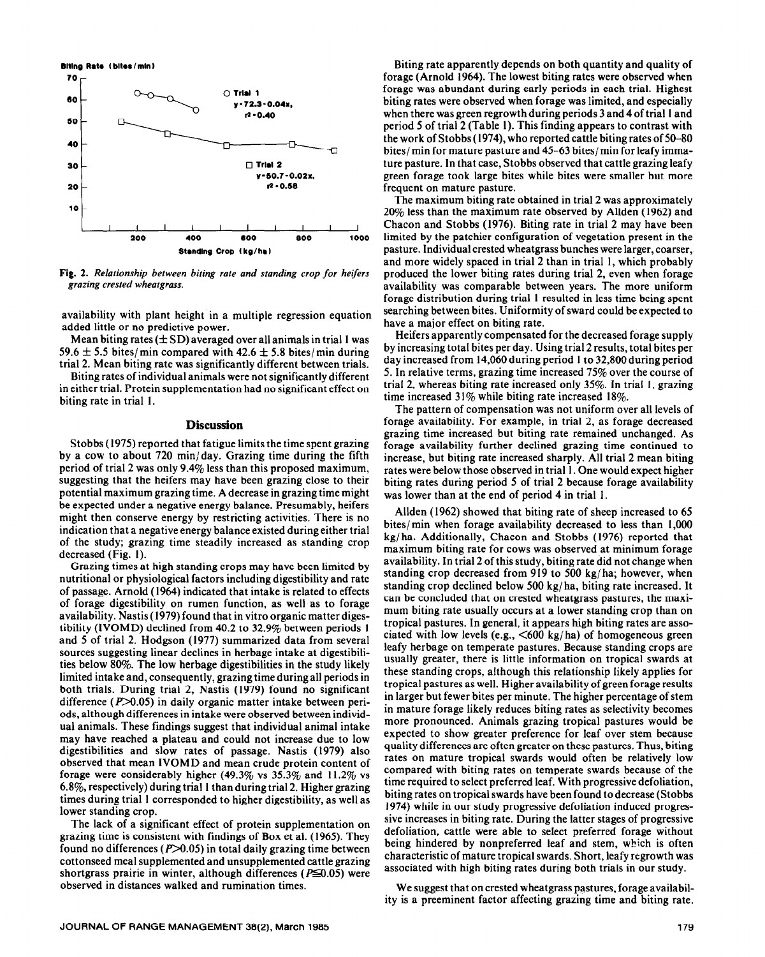**Biting Rate (bites/min)** 



**Fig. 2.** *Relationship between biting rate and sranding crop for heifers*  grazing *crested wheatgrass.* 

availability with plant height in a multiple regression equation added little or no predictive power.

Mean biting rates  $(\pm SD)$  averaged over all animals in trial 1 was 59.6  $\pm$  5.5 bites/min compared with 42.6  $\pm$  5.8 bites/min during trial 2. Mean biting rate was significantly different between trials.

Biting rates of individual animals were not significantly different in either trial. Protein supplementation had no significant effect on biting rate in trial 1.

### **Discussion**

Stobbs (1975) reported that fatigue limits the time spent grazing by a cow to about 720  $\min/\text{day}$ . Grazing time during the fifth period of trial 2 was only 9.4% less than this proposed maximum, suggesting that the heifers may have been grazing close to their potential maximum grazing time. A decrease in grazing time might be expected under a negative energy balance. Presumably, heifers might then conserve energy by restricting activities. There is no indication that a negative energy balance existed during either trial of the study; grazing time steadily increased as standing crop decreased (Fig. 1).

Grazing times at high standing crops may have been limited by nutritional or physiological factors including digestibility and rate of passage. Arnold (1964) indicated that intake is related to effects of forage digestibility on rumen function, as well as to forage availability. Nastis (1979) found that in vitro organic matter digestibility (IVOMD) declined from 40.2 to 32.9% between periods 1 and 5 of trial 2. Hodgson (1977) summarized data from several sources suggesting linear declines in herbage intake at digestibilities below 80%. The low herbage digestibilities in the study likely limited intake and, consequently, grazing time during all periods in both trials. During trial 2, Nastis (1979) found no significant difference ( $P > 0.05$ ) in daily organic matter intake between periods, although differences in intake were observed between individual animals. These findings suggest that individual animal intake may have reached a plateau and could not increase due to low digestibilities and slow rates of passage. Nastis (1979) also observed that mean IVOMD and mean crude protein content of forage were considerably higher (49.3% vs  $35.3\%$  and  $11.2\%$  vs 6.8%, respectively) during trial 1 than during trial 2. Higher grazing times during trial 1 corresponded to higher digestibility, as well as lower standing crop.

The lack of a significant effect of protein supplementation on grazing time is consistent with findings of Box et al. (1965). They found no differences  $(P>0.05)$  in total daily grazing time between cottonseed meal supplemented and unsupplemented cattle grazing shortgrass prairie in winter, although differences ( $P \le 0.05$ ) were observed in distances walked and rumination times.

Biting rate apparently depends on both quantity and quality of forage (Arnold 1964). The lowest biting rates were observed when forage was abundant during early periods in each trial. Highest biting rates were observed when forage was limited, and especially when there was green regrowth during periods 3 and 4 of trial 1 and period 5 of trial 2 (Table 1). This finding appears to contrast with the work of Stobbs (1974), who reported cattle biting rates of 50-80 bites/ min for mature pasture and 45-63 bites/ min for leafy immature pasture. In that case, Stobbs observed that cattle grazing leafy green forage took large bites while bites were smaller but more frequent on mature pasture.

The maximum biting rate obtained in trial 2 was approximately 20% less than the maximum rate observed by Allden (1962) and Chacon and Stobbs (1976). Biting rate in trial 2 may have been limited by the patchier configuration of vegetation present in the pasture. Individual crested wheatgrass bunches were larger, coarser, and more widely spaced in trial 2 than in trial 1, which probably produced the lower biting rates during trial 2, even when forage availability was comparable between years. The more uniform forage distribution during trial 1 resulted in less time being spent searching between bites. Uniformity of sward could be expected to have a major effect on biting rate.

Heifers apparently compensated for the decreased forage supply by increasing total bites per day. Using trial 2 results, total bites per day increased from 14,060 during period 1 to 32,800 during period 5. In relative terms, grazing time increased 75% over the course of trial 2, whereas biting rate increased only 35%. In trial I, grazing time increased  $31\%$  while biting rate increased 18%.

The pattern of compensation was not uniform over all levels of forage availability. For example, in trial 2, as forage decreased grazing time increased but biting rate remained unchanged. As forage availability further declined grazing time continued to increase, but biting rate increased sharply. All trial 2 mean biting rates were below those observed in trial 1. One would expect higher biting rates during period 5 of trial 2 because forage availability was lower than at the end of period 4 in trial 1.

Allden (1962) showed that biting rate of sheep increased to 65 bites/min when forage availability decreased to less than 1,000 kg/ha. Additionally, Chacon and Stobbs (1976) reported that maximum biting rate for cows was observed at minimum forage availability. In trial 2 of this study, biting rate did not change when standing crop decreased from 919 to 500 kg/ha; however, when standing crop declined below 500 kg/ ha, biting rate increased. It can be concluded that on crested wheatgrass pastures, the maximum biting rate usually occurs at a lower standing crop than on tropical pastures. In general, it appears high biting rates are associated with low levels (e.g.,  $\leq 600 \text{ kg/ha}$ ) of homogeneous green leafy herbage on temperate pastures. Because standing crops are usually greater, there is little information on tropical swards at these standing crops, although this relationship likely applies for tropical pastures as well. Higher availability of green forage results in larger but fewer bites per minute. The higher percentage of stem in mature forage likely reduces biting rates as selectivity becomes more pronounced. Animals grazing tropical pastures would be expected to show greater preference for leaf over stem because quality differences are often greater on these pastures. Thus, biting rates on mature tropical swards would often be relatively low compared with biting rates on temperate swards because of the time required to select preferred leaf. With progressive defoliation, biting rates on tropical swards have been found to decrease (Stobbs 1974) while in our study progressive defoliation induced progressive increases in biting rate. During the latter stages of progressive defoliation, cattle were able to select preferred forage without being hindered by nonpreferred leaf and stem, which is often characteristic of mature tropical swards. Short, leafy regrowth was associated with high biting rates during both trials in our study.

We suggest that on crested wheatgrass pastures, forage availability is a preeminent factor affecting grazing time and biting rate.